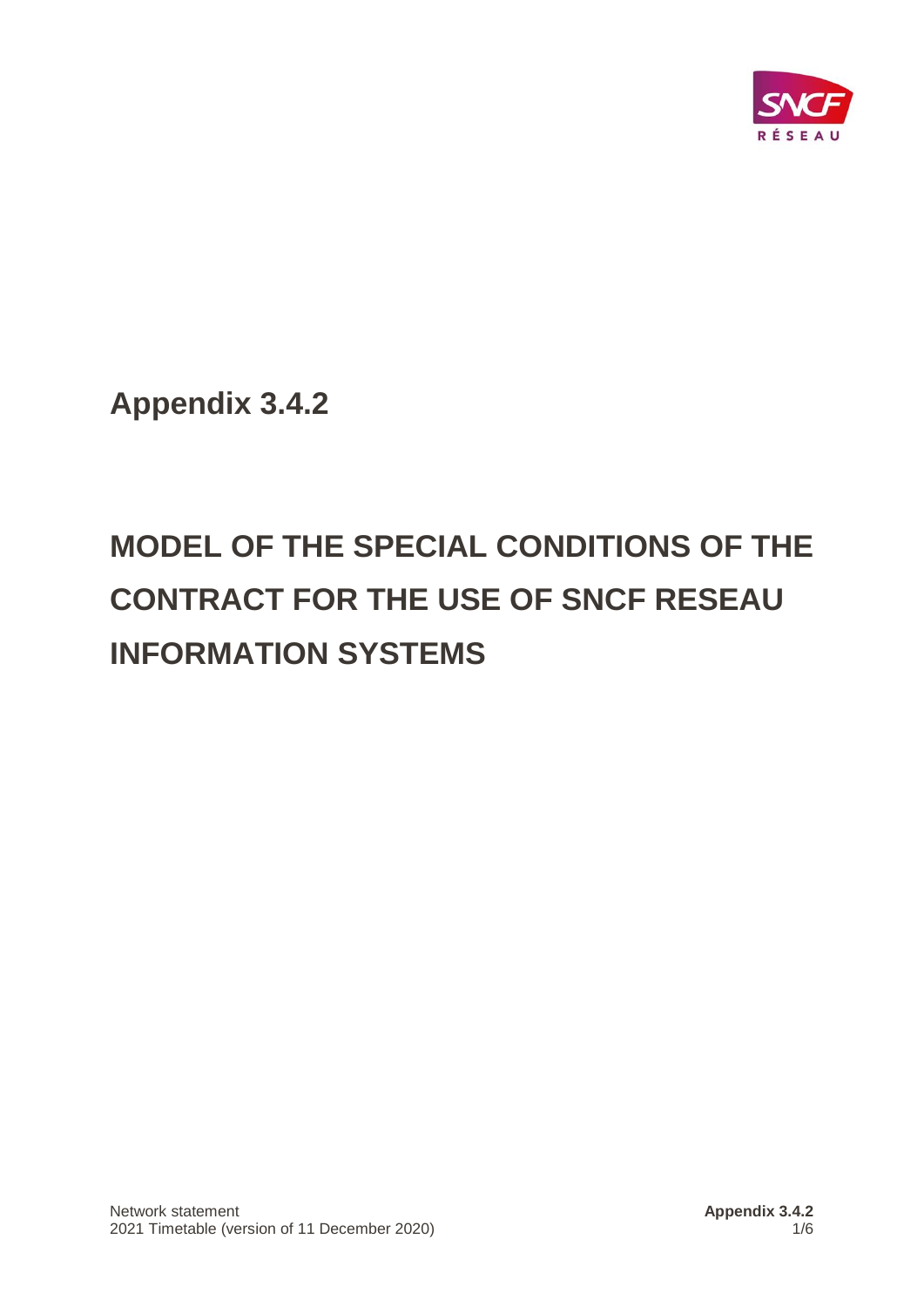

**Appendix 3.4.2**

# **MODEL OF THE SPECIAL CONDITIONS OF THE CONTRACT FOR THE USE OF SNCF RESEAU INFORMATION SYSTEMS**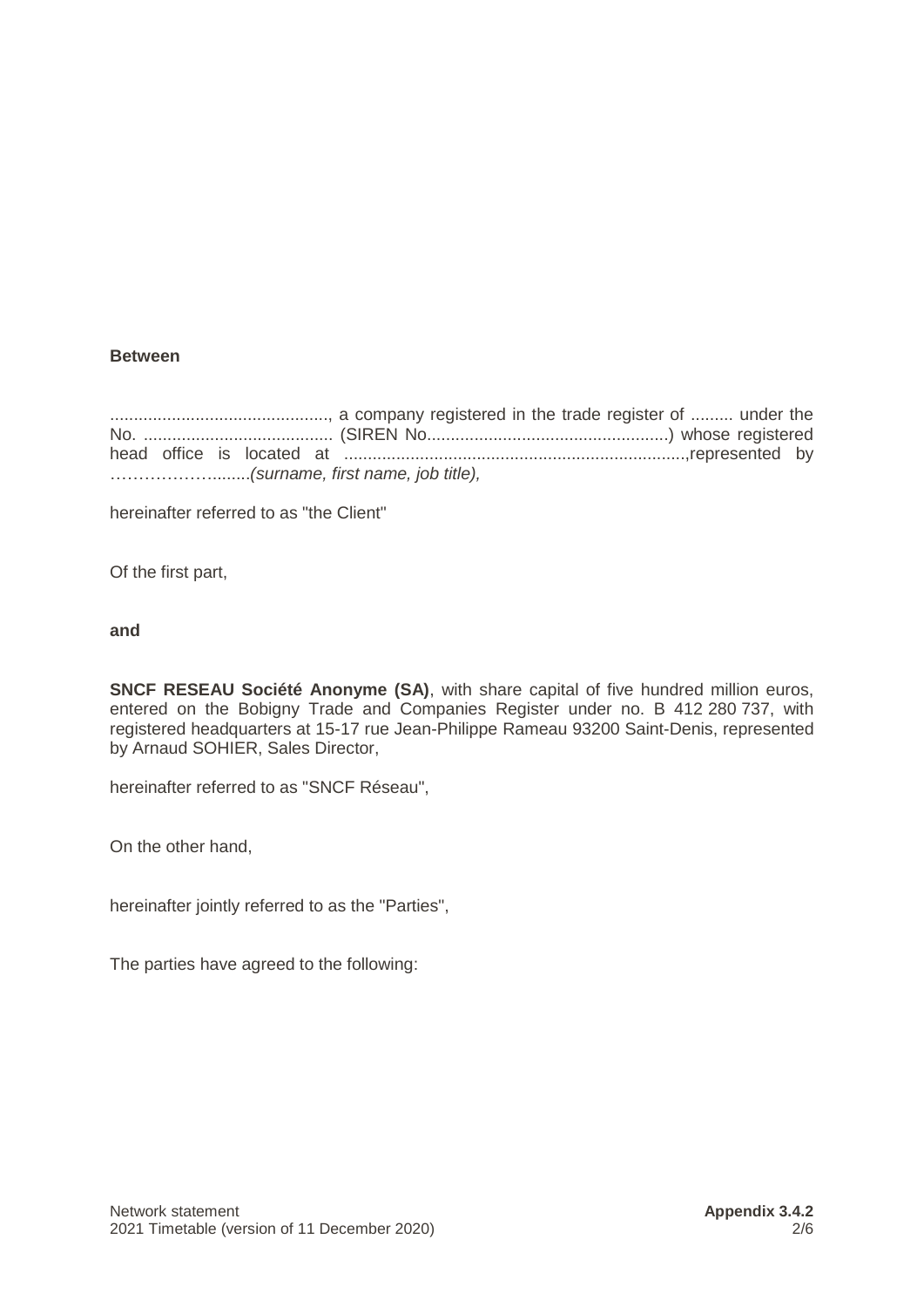# **Between**

.............................................., a company registered in the trade register of ......... under the No. ........................................ (SIREN No...................................................) whose registered head office is located at ........................................................................,represented by ………………........*(surname, first name, job title),*

hereinafter referred to as "the Client"

Of the first part,

### **and**

**SNCF RESEAU Société Anonyme (SA)**, with share capital of five hundred million euros, entered on the Bobigny Trade and Companies Register under no. B 412 280 737, with registered headquarters at 15-17 rue Jean-Philippe Rameau 93200 Saint-Denis, represented by Arnaud SOHIER, Sales Director,

hereinafter referred to as "SNCF Réseau",

On the other hand,

hereinafter jointly referred to as the "Parties",

The parties have agreed to the following: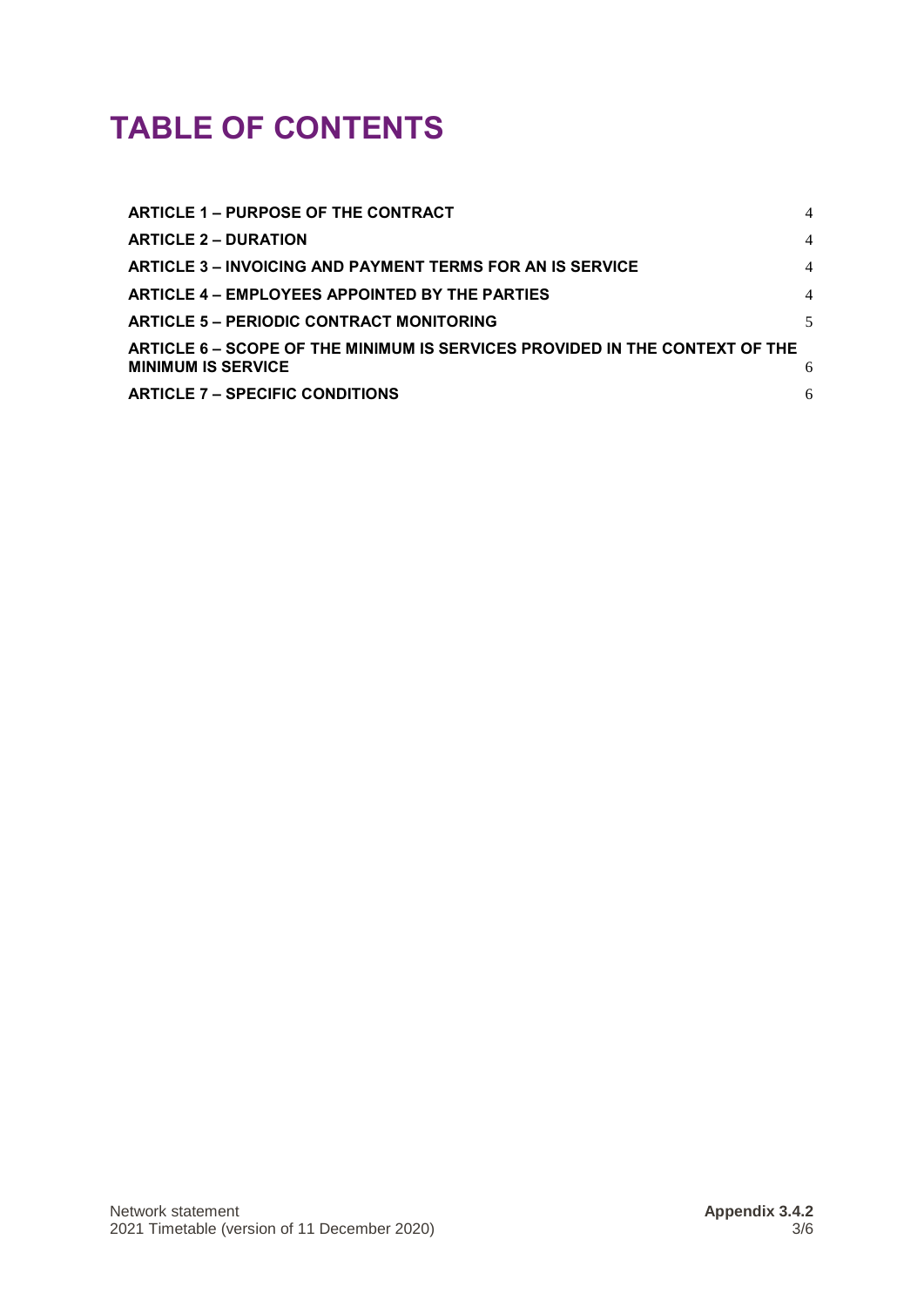# **TABLE OF CONTENTS**

| ARTICLE 1 - PURPOSE OF THE CONTRACT                                                                      | $\overline{4}$ |
|----------------------------------------------------------------------------------------------------------|----------------|
| <b>ARTICLE 2 – DURATION</b>                                                                              | $\overline{4}$ |
| <b>ARTICLE 3 - INVOICING AND PAYMENT TERMS FOR AN IS SERVICE</b>                                         | $\overline{4}$ |
| ARTICLE 4 – EMPLOYEES APPOINTED BY THE PARTIES                                                           | $\overline{4}$ |
| <b>ARTICLE 5 - PERIODIC CONTRACT MONITORING</b>                                                          | 5              |
| ARTICLE 6 – SCOPE OF THE MINIMUM IS SERVICES PROVIDED IN THE CONTEXT OF THE<br><b>MINIMUM IS SERVICE</b> | 6              |
| <b>ARTICLE 7 – SPECIFIC CONDITIONS</b>                                                                   | 6              |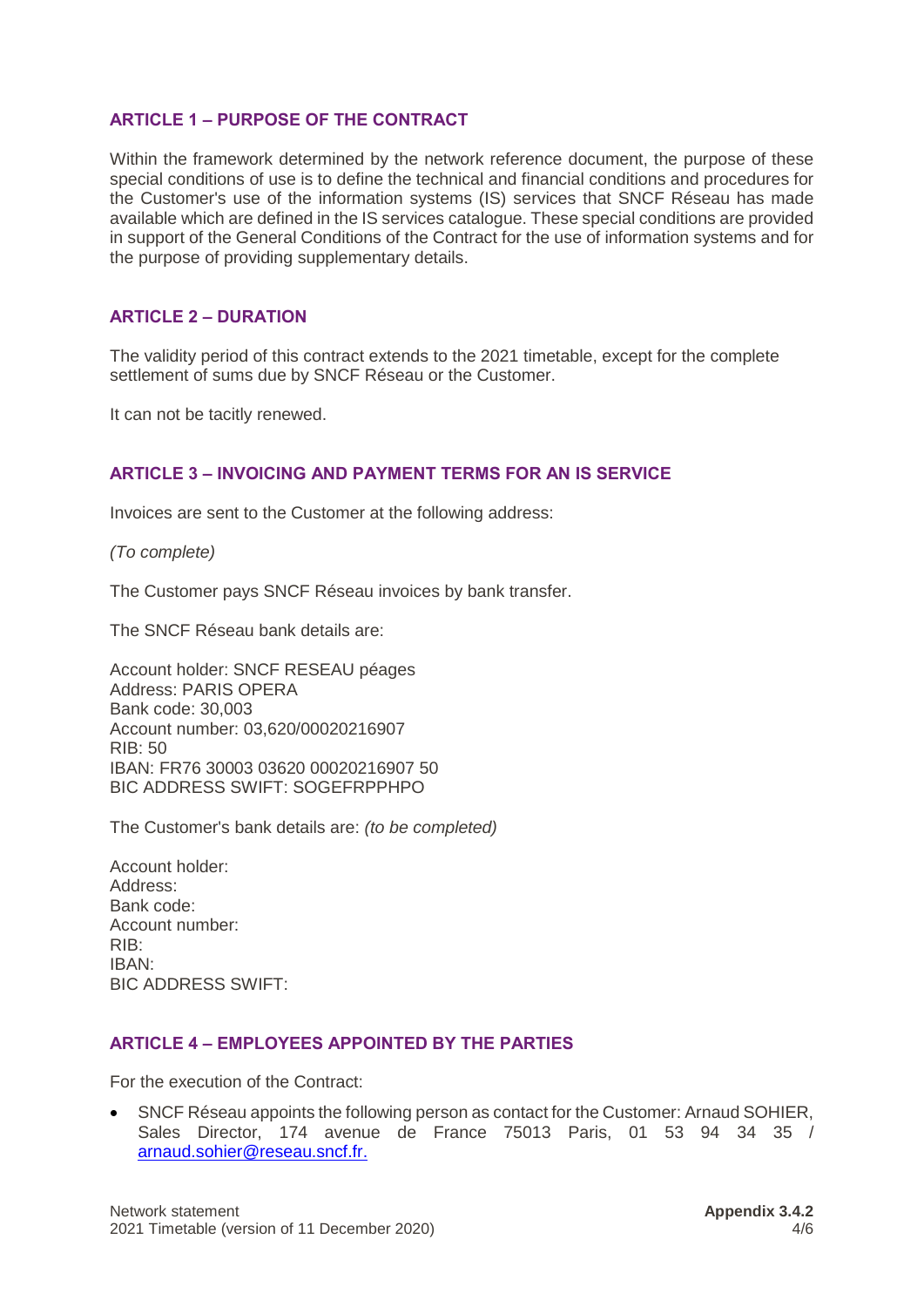# <span id="page-3-0"></span>**ARTICLE 1 – PURPOSE OF THE CONTRACT**

Within the framework determined by the network reference document, the purpose of these special conditions of use is to define the technical and financial conditions and procedures for the Customer's use of the information systems (IS) services that SNCF Réseau has made available which are defined in the IS services catalogue. These special conditions are provided in support of the General Conditions of the Contract for the use of information systems and for the purpose of providing supplementary details.

# <span id="page-3-1"></span>**ARTICLE 2 – DURATION**

The validity period of this contract extends to the 2021 timetable, except for the complete settlement of sums due by SNCF Réseau or the Customer.

It can not be tacitly renewed.

# <span id="page-3-2"></span>**ARTICLE 3 – INVOICING AND PAYMENT TERMS FOR AN IS SERVICE**

Invoices are sent to the Customer at the following address:

*(To complete)*

The Customer pays SNCF Réseau invoices by bank transfer.

The SNCF Réseau bank details are:

Account holder: SNCF RESEAU péages Address: PARIS OPERA Bank code: 30,003 Account number: 03,620/00020216907 RIB: 50 IBAN: FR76 30003 03620 00020216907 50 BIC ADDRESS SWIFT: SOGEFRPPHPO

The Customer's bank details are: *(to be completed)*

Account holder: Address: Bank code: Account number: RIB: IBAN: BIC ADDRESS SWIFT:

### <span id="page-3-3"></span>**ARTICLE 4 – EMPLOYEES APPOINTED BY THE PARTIES**

For the execution of the Contract:

• SNCF Réseau appoints the following person as contact for the Customer: Arnaud SOHIER, Sales Director, 174 avenue de France 75013 Paris, 01 53 94 34 35 / [arnaud.sohier@reseau.sncf.fr.](mailto:arnaud.sohier@reseau.sncf.fr)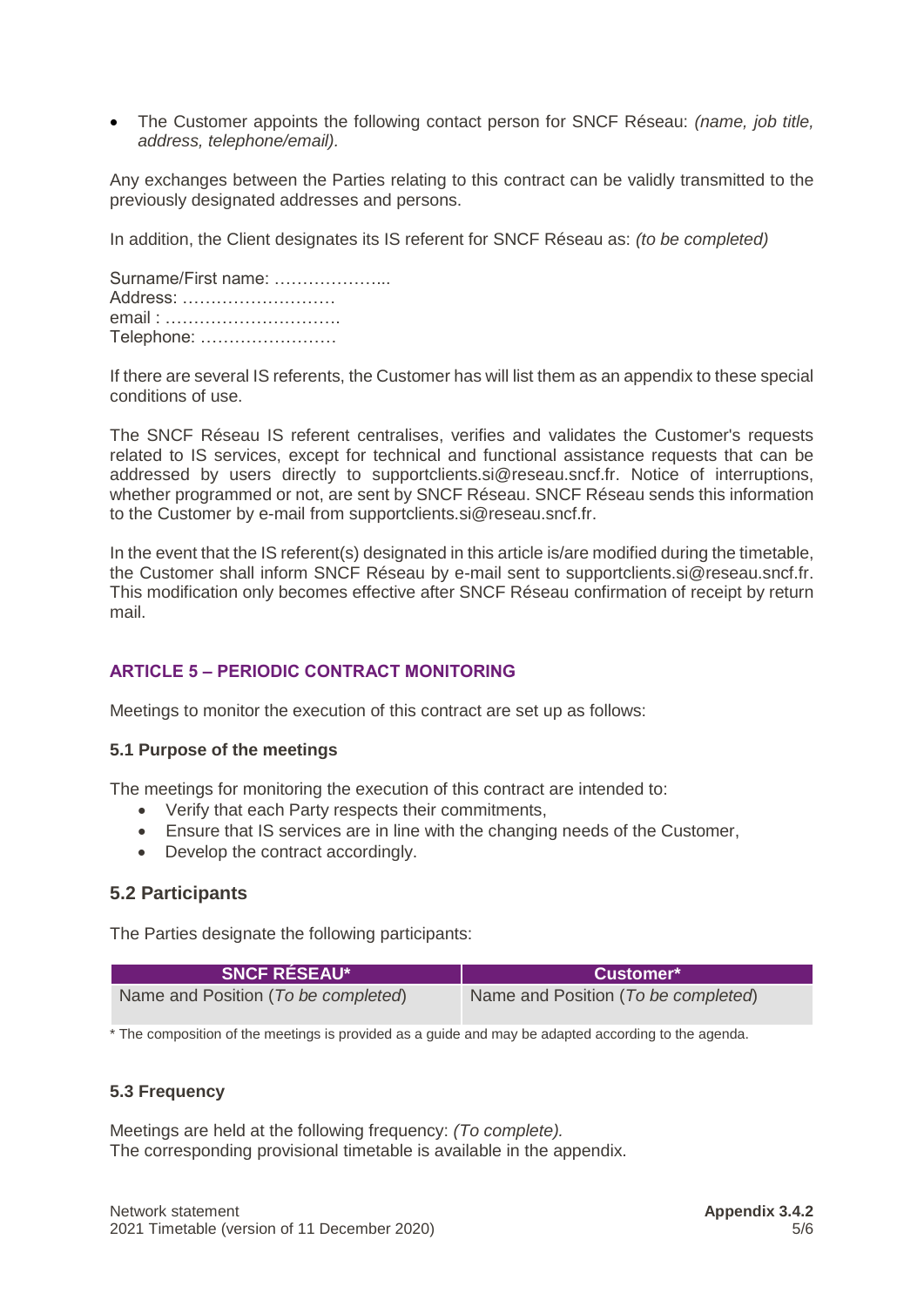• The Customer appoints the following contact person for SNCF Réseau: *(name, job title, address, telephone/email).*

Any exchanges between the Parties relating to this contract can be validly transmitted to the previously designated addresses and persons.

In addition, the Client designates its IS referent for SNCF Réseau as: *(to be completed)*

| Surname/First name: |  |
|---------------------|--|
| Address:            |  |
| email:              |  |
| Telephone:          |  |

If there are several IS referents, the Customer has will list them as an appendix to these special conditions of use.

The SNCF Réseau IS referent centralises, verifies and validates the Customer's requests related to IS services, except for technical and functional assistance requests that can be addressed by users directly to [supportclients.si@reseau.sncf.fr.](mailto:supportclients.si@reseau.sncf.fr) Notice of interruptions, whether programmed or not, are sent by SNCF Réseau. SNCF Réseau sends this information to the Customer by e-mail from [supportclients.si@reseau.sncf.fr.](mailto:supportclients.si@reseau.sncf.fr)

In the event that the IS referent(s) designated in this article is/are modified during the timetable, the Customer shall inform SNCF Réseau by e-mail sent to [supportclients.si@reseau.sncf.fr.](mailto:supportclients.si@reseau.sncf.fr) This modification only becomes effective after SNCF Réseau confirmation of receipt by return mail.

# <span id="page-4-0"></span>**ARTICLE 5 – PERIODIC CONTRACT MONITORING**

Meetings to monitor the execution of this contract are set up as follows:

### **5.1 Purpose of the meetings**

The meetings for monitoring the execution of this contract are intended to:

- Verify that each Party respects their commitments,
- Ensure that IS services are in line with the changing needs of the Customer,
- Develop the contract accordingly.

# **5.2 Participants**

The Parties designate the following participants:

| <b>SNCF RÉSEAU*</b>                 | <b>Customer*</b>                    |
|-------------------------------------|-------------------------------------|
| Name and Position (To be completed) | Name and Position (To be completed) |

\* The composition of the meetings is provided as a guide and may be adapted according to the agenda.

# **5.3 Frequency**

Meetings are held at the following frequency: *(To complete).* The corresponding provisional timetable is available in the appendix.